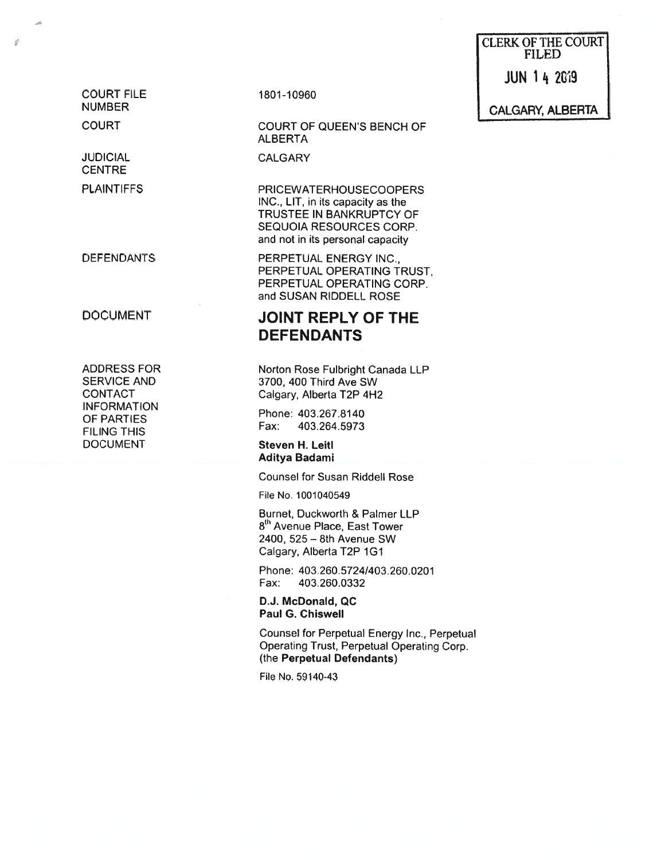CLERK OF THE COURT FILED

JUN 14 2019

COURT FILE 1801-10960

ø

JUDICIAL CALGARY **CENTRE** 

CONTACT Calgary, Alberta T2P 4H2<br>INFORMATION FILING THIS Fax: 403.264.5973 DOCUMENT Steven H. Leitl

## COURT COURT OF QUEEN'S BENCH OF ALBERTA

PLAINTIFFS PRICEWATERHOUSECOOPERS INC., LIT, in its capacity as the TRUSTEE IN BANKRUPTCY OF SEQUOIA RESOURCES CORP. and not in its personal capacity

DEFENDANTS PERPETUAL ENERGY INC., PERPETUAL OPERATING TRUST, PERPETUAL OPERATING CORP. and SUSAN RIDDELL ROSE

# DOCUMENT JOINT REPLY OF THE DEFENDANTS

ADDRESS FOR Norton Rose Fulbright Canada LLP<br>SERVICE AND 3700, 400 Third Ave SW 3700, 400 Third Ave SW

The PARTIES Phone: 403.267.8140

Aditya Badami

Counsel for Susan Riddell Rose

File No. 1001040549

Burnet, Duckworth & Palmer LLP 8<sup>th</sup> Avenue Place, East Tower 2400, 525— 8th Avenue SW Calgary, Alberta T2P 1G1

Phone: 403.260.5724/403.260.0201 Fax: 403.260.0332

D.J. McDonald, QC Paul G. ChisweIl

Counsel for Perpetual Energy Inc., Perpetual Operating Trust, Perpetual Operating Corp. (the Perpetual Defendants)

File No. 59140-43

NUMBER CALGARY, ALBERTA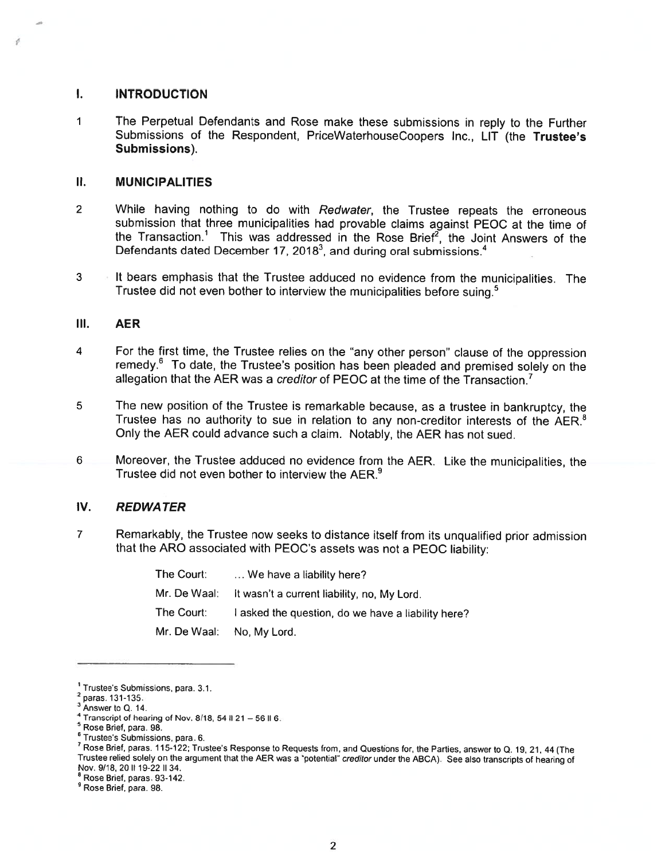#### I. INTRODUCTION

a

ó

<sup>1</sup> The Perpetual Defendants and Rose make these submissions in reply to the Further Submissions of the Respondent, PriceWaterhouseCoopers Inc., LIT (the Trustee's Submissions).

#### II. MUNICIPALITIES

- <sup>2</sup> While having nothing to do with Redwater, the Trustee repeats the erroneous submission that three municipalities had provable claims against PEOC at the time of the Transaction.<sup>1</sup> This was addressed in the Rose Brief<sup>2</sup>, the Joint Answers of the Defendants dated December 17, 2018<sup>3</sup>, and during oral submissions.<sup>4</sup>
- <sup>3</sup> It bears emphasis that the Trustee adduced no evidence from the municipalities. The Trustee did not even bother to interview the municipalities before suing.<sup>5</sup>

#### III. AER

- <sup>4</sup> For the first time, the Trustee relies on the "any other person" clause of the oppression remedy.<sup>6</sup> To date, the Trustee's position has been pleaded and premised solely on the allegation that the AER was a creditor of PEOC at the time of the Transaction.<sup>7</sup>
- <sup>5</sup> The new position of the Trustee is remarkable because, as <sup>a</sup> trustee in bankruptcy, the Trustee has no authority to sue in relation to any non-creditor interests of the AER.<sup>8</sup> Only the AER could advance such <sup>a</sup> claim. Notably, the AER has not sued.
- <sup>6</sup> Moreover, the Trustee adduced no evidence from the AER. Like the municipalities, the Trustee did not even bother to interview the AER.°

### IV. REDWA TER

<sup>7</sup> Remarkably, the Trustee now seeks to distance itself from its unqualified prior admission that the ARO associated with PEOC's assets was not <sup>a</sup> PEOC liability:

| The Court: | We have a liability here?                                |
|------------|----------------------------------------------------------|
|            | Mr. De Waal: It wasn't a current liability, no, My Lord. |
| The Court: | I asked the question, do we have a liability here?       |
|            | Mr. De Waal: No, My Lord.                                |

<sup>8</sup> Rose Brief, paras, 93-142.

<sup>9</sup> Rose Brief, para. 98.

<sup>1</sup> Trustee's Submissions, para. 3.1.

 $2$  paras. 131-135.

<sup>&</sup>lt;sup>3</sup> Answer to Q. 14.

Transcript of hearing of Nov. 8/18, 54 II 21 - 56 II 6.

Rose Brief, para, 98.

<sup>6</sup> Trustee's Submissions, para. 6.

Rose Brief, paras. 115-122; Trustee's Response to Requests from, and Questions for, the Parties, answer to Q. 19, 21, <sup>44</sup> (The Trustee relied solely on the argumen<sup>t</sup> that the AER was <sup>a</sup> 'potential" creditor under the ABcA). See also transcripts of hearing of Nov. 9/18, 20 II 19-22 II 34.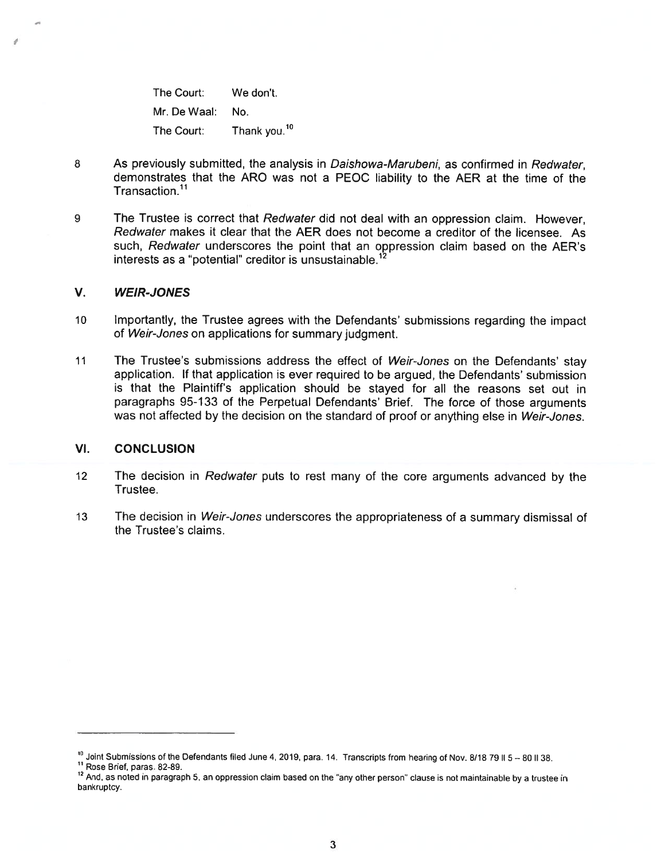The Court: We don't. Mr. De Waal: No. The Court: Thank you.<sup>10</sup>

- 8 As previously submitted, the analysis in Daishowa-Marubeni, as confirmed in Redwater, demonstrates that the ARO was not <sup>a</sup> PEOC liability to the AER at the time of the Transaction.<sup>11</sup>
- 9 The Trustee is correct that Redwater did not deal with an oppression claim. However, Redwater makes it clear that the AER does not become <sup>a</sup> creditor of the licensee. As such, Redwater underscores the point that an oppression claim based on the AER's interests as a "potential" creditor is unsustainable.<sup>12</sup>

#### V. WEIR-JONES

- <sup>10</sup> Importantly, the Trustee agrees with the Defendants' submissions regarding the impact of Weir-Jones on applications for summary judgment.
- 11 The Trustee's submissions address the effect of Weir-Jones on the Defendants' stay application, If that application is ever required to be argued, the Defendants' submission is that the Plaintiff's application should be stayed for all the reasons set out in paragraphs 95-1 33 of the Perpetual Defendants' Brief. The force of those arguments was not affected by the decision on the standard of proof or anything else in Weir-Jones.

#### VI. CONCLUSION

- <sup>12</sup> The decision in Redwater puts to rest many of the core arguments advanced by the Trustee.
- 13 The decision in Weir-Jones underscores the appropriateness of a summary dismissal of the Trustee's claims.

<sup>&</sup>lt;sup>10</sup> Joint Submissions of the Defendants filed June 4, 2019, para. 14. Transcripts from hearing of Nov. 8/18 79 II 5 - 80 II 38.

Rose Brief, paras. 82-89.

<sup>&</sup>lt;sup>12</sup> And, as noted in paragraph 5, an oppression claim based on the "any other person" clause is not maintainable by a trustee in bankruptcy.